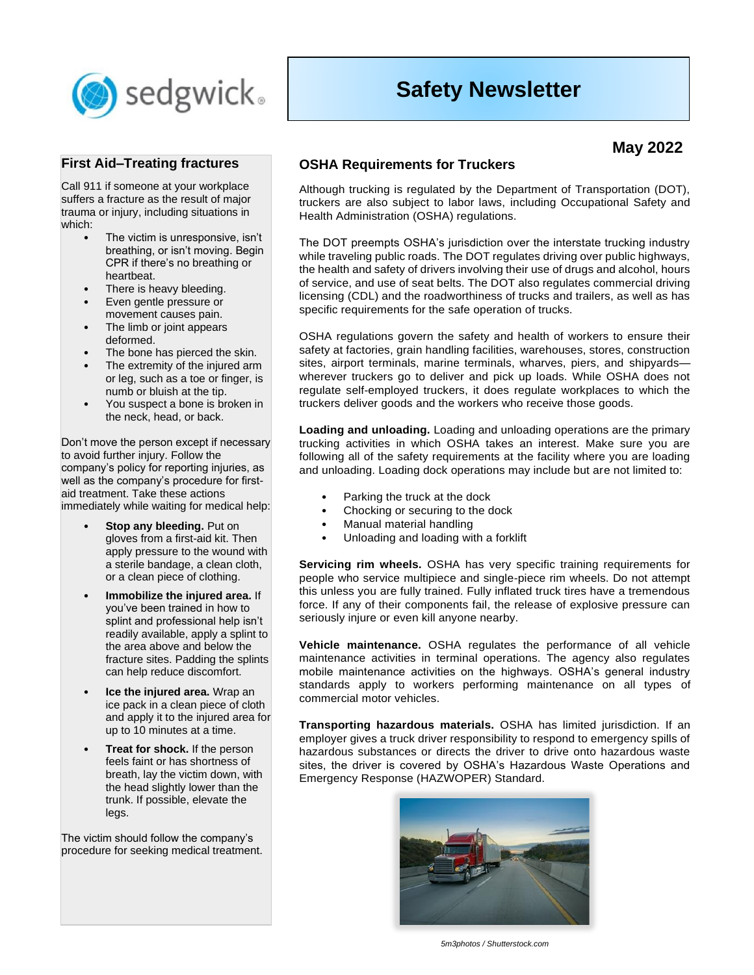

# **Safety Newsletter**

# **May 2022**

#### **First Aid–Treating fractures**

Call 911 if someone at your workplace suffers a fracture as the result of major trauma or injury, including situations in which:

- The victim is unresponsive, isn't breathing, or isn't moving. Begin CPR if there's no breathing or heartbeat.
- There is heavy bleeding.
- Even gentle pressure or movement causes pain.
- The limb or joint appears deformed.
- The bone has pierced the skin.
- The extremity of the injured arm or leg, such as a toe or finger, is numb or bluish at the tip.
- You suspect a bone is broken in the neck, head, or back.

Don't move the person except if necessary to avoid further injury. Follow the company's policy for reporting injuries, as well as the company's procedure for firstaid treatment. Take these actions immediately while waiting for medical help:

- **Stop any bleeding. Put on** gloves from a first-aid kit. Then apply pressure to the wound with a sterile bandage, a clean cloth, or a clean piece of clothing.
- **Immobilize the injured area.** If you've been trained in how to splint and professional help isn't readily available, apply a splint to the area above and below the fracture sites. Padding the splints can help reduce discomfort.
- **Ice the injured area.** Wrap an ice pack in a clean piece of cloth and apply it to the injured area for up to 10 minutes at a time.
- **Treat for shock.** If the person feels faint or has shortness of breath, lay the victim down, with the head slightly lower than the trunk. If possible, elevate the legs.

The victim should follow the company's procedure for seeking medical treatment.

## **OSHA Requirements for Truckers**

Although trucking is regulated by the Department of Transportation (DOT), truckers are also subject to labor laws, including Occupational Safety and Health Administration (OSHA) regulations.

The DOT preempts OSHA's jurisdiction over the interstate trucking industry while traveling public roads. The DOT regulates driving over public highways, the health and safety of drivers involving their use of drugs and alcohol, hours of service, and use of seat belts. The DOT also regulates commercial driving licensing (CDL) and the roadworthiness of trucks and trailers, as well as has specific requirements for the safe operation of trucks.

OSHA regulations govern the safety and health of workers to ensure their safety at factories, grain handling facilities, warehouses, stores, construction sites, airport terminals, marine terminals, wharves, piers, and shipyards wherever truckers go to deliver and pick up loads. While OSHA does not regulate self-employed truckers, it does regulate workplaces to which the truckers deliver goods and the workers who receive those goods.

**Loading and unloading.** Loading and unloading operations are the primary trucking activities in which OSHA takes an interest. Make sure you are following all of the safety requirements at the facility where you are loading and unloading. Loading dock operations may include but are not limited to:

- Parking the truck at the dock
- Chocking or securing to the dock
- Manual material handling
- Unloading and loading with a forklift

**Servicing rim wheels.** OSHA has very specific training requirements for people who service multipiece and single-piece rim wheels. Do not attempt this unless you are fully trained. Fully inflated truck tires have a tremendous force. If any of their components fail, the release of explosive pressure can seriously injure or even kill anyone nearby.

**Vehicle maintenance.** OSHA regulates the performance of all vehicle maintenance activities in terminal operations. The agency also regulates mobile maintenance activities on the highways. OSHA's general industry standards apply to workers performing maintenance on all types of commercial motor vehicles.

**Transporting hazardous materials.** OSHA has limited jurisdiction. If an employer gives a truck driver responsibility to respond to emergency spills of hazardous substances or directs the driver to drive onto hazardous waste sites, the driver is covered by OSHA's Hazardous Waste Operations and Emergency Response (HAZWOPER) Standard.



*5m3photos / Shutterstock.com*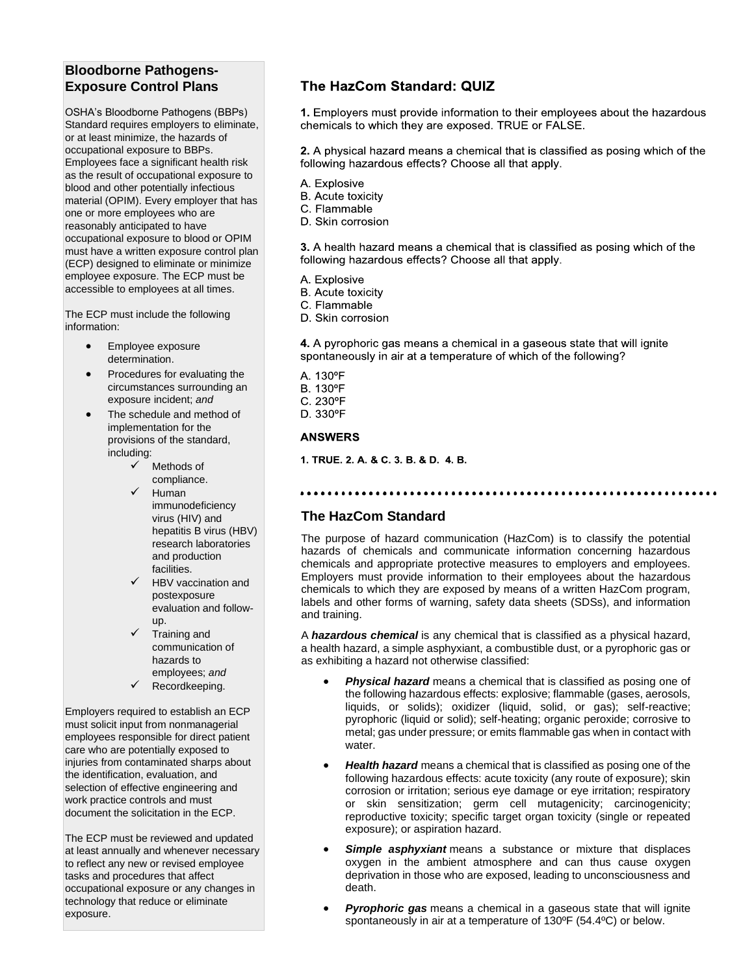# **Bloodborne Pathogens-Exposure Control Plans**

OSHA's Bloodborne Pathogens (BBPs) Standard requires employers to eliminate. or at least minimize, the hazards of occupational exposure to BBPs. Employees face a significant health risk as the result of occupational exposure to blood and other potentially infectious material (OPIM). Every employer that has one or more employees who are reasonably anticipated to have occupational exposure to blood or OPIM must have a written exposure control plan (ECP) designed to eliminate or minimize employee exposure. The ECP must be accessible to employees at all times.

The ECP must include the following information:

- Employee exposure determination.
- Procedures for evaluating the circumstances surrounding an exposure incident; *and*
- The schedule and method of implementation for the provisions of the standard, including:
	- Methods of compliance.
	- **Human** immunodeficiency virus (HIV) and hepatitis B virus (HBV) research laboratories and production facilities.
	- ✓ HBV vaccination and postexposure evaluation and followup.
	- ✓ Training and communication of hazards to employees; *and*
	- Recordkeeping.

Employers required to establish an ECP must solicit input from nonmanagerial employees responsible for direct patient care who are potentially exposed to injuries from contaminated sharps about the identification, evaluation, and selection of effective engineering and work practice controls and must document the solicitation in the ECP.

The ECP must be reviewed and updated at least annually and whenever necessary to reflect any new or revised employee tasks and procedures that affect occupational exposure or any changes in technology that reduce or eliminate exposure.

## The HazCom Standard: QUIZ

1. Employers must provide information to their employees about the hazardous chemicals to which they are exposed. TRUE or FALSE.

2. A physical hazard means a chemical that is classified as posing which of the following hazardous effects? Choose all that apply.

- A. Explosive
- **B.** Acute toxicity
- C. Flammable
- D. Skin corrosion

3. A health hazard means a chemical that is classified as posing which of the following hazardous effects? Choose all that apply.

- A. Explosive
- **B.** Acute toxicity
- C. Flammable
- D. Skin corrosion

4. A pyrophoric gas means a chemical in a gaseous state that will ignite spontaneously in air at a temperature of which of the following?

- A. 130°F **B. 130°F** C. 230°F
- D. 330°F

#### **ANSWERS**

1. TRUE. 2. A. & C. 3. B. & D. 4. B.

#### 

#### **The HazCom Standard**

The purpose of hazard communication (HazCom) is to classify the potential hazards of chemicals and communicate information concerning hazardous chemicals and appropriate protective measures to employers and employees. Employers must provide information to their employees about the hazardous chemicals to which they are exposed by means of a written HazCom program, labels and other forms of warning, safety data sheets (SDSs), and information and training.

A *hazardous chemical* is any chemical that is classified as a physical hazard, a health hazard, a simple asphyxiant, a combustible dust, or a pyrophoric gas or as exhibiting a hazard not otherwise classified:

- *Physical hazard* means a chemical that is classified as posing one of the following hazardous effects: explosive; flammable (gases, aerosols, liquids, or solids); oxidizer (liquid, solid, or gas); self-reactive; pyrophoric (liquid or solid); self-heating; organic peroxide; corrosive to metal; gas under pressure; or emits flammable gas when in contact with water.
- *Health hazard* means a chemical that is classified as posing one of the following hazardous effects: acute toxicity (any route of exposure); skin corrosion or irritation; serious eye damage or eye irritation; respiratory or skin sensitization; germ cell mutagenicity; carcinogenicity; reproductive toxicity; specific target organ toxicity (single or repeated exposure); or aspiration hazard.
- **Simple asphyxiant** means a substance or mixture that displaces oxygen in the ambient atmosphere and can thus cause oxygen deprivation in those who are exposed, leading to unconsciousness and death.
- *Pyrophoric gas* means a chemical in a gaseous state that will ignite spontaneously in air at a temperature of 130ºF (54.4ºC) or below.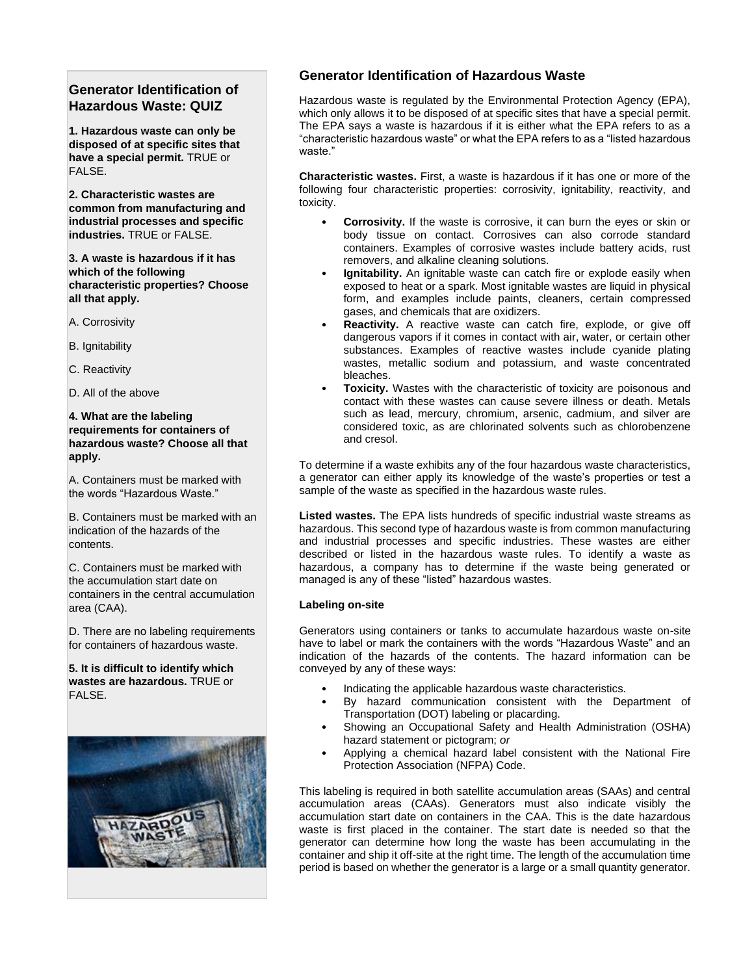## **Generator Identification of Hazardous Waste: QUIZ**

**1. Hazardous waste can only be disposed of at specific sites that have a special permit.** TRUE or FALSE.

**2. Characteristic wastes are common from manufacturing and industrial processes and specific industries.** TRUE or FALSE.

**3. A waste is hazardous if it has which of the following characteristic properties? Choose all that apply.**

- A. Corrosivity
- B. Ignitability
- C. Reactivity
- D. All of the above

#### **4. What are the labeling requirements for containers of hazardous waste? Choose all that apply.**

A. Containers must be marked with the words "Hazardous Waste."

B. Containers must be marked with an indication of the hazards of the contents.

C. Containers must be marked with the accumulation start date on containers in the central accumulation area (CAA).

D. There are no labeling requirements for containers of hazardous waste.

**5. It is difficult to identify which wastes are hazardous.** TRUE or FALSE.



## **Generator Identification of Hazardous Waste**

Hazardous waste is regulated by the Environmental Protection Agency (EPA), which only allows it to be disposed of at specific sites that have a special permit. The EPA says a waste is hazardous if it is either what the EPA refers to as a "characteristic hazardous waste" or what the EPA refers to as a "listed hazardous waste."

**Characteristic wastes.** First, a waste is hazardous if it has one or more of the following four characteristic properties: corrosivity, ignitability, reactivity, and toxicity.

- **Corrosivity.** If the waste is corrosive, it can burn the eyes or skin or body tissue on contact. Corrosives can also corrode standard containers. Examples of corrosive wastes include battery acids, rust removers, and alkaline cleaning solutions.
- **Ignitability.** An ignitable waste can catch fire or explode easily when exposed to heat or a spark. Most ignitable wastes are liquid in physical form, and examples include paints, cleaners, certain compressed gases, and chemicals that are oxidizers.
- **Reactivity.** A reactive waste can catch fire, explode, or give off dangerous vapors if it comes in contact with air, water, or certain other substances. Examples of reactive wastes include cyanide plating wastes, metallic sodium and potassium, and waste concentrated bleaches.
- **Toxicity.** Wastes with the characteristic of toxicity are poisonous and contact with these wastes can cause severe illness or death. Metals such as lead, mercury, chromium, arsenic, cadmium, and silver are considered toxic, as are chlorinated solvents such as chlorobenzene and cresol.

To determine if a waste exhibits any of the four hazardous waste characteristics, a generator can either apply its knowledge of the waste's properties or test a sample of the waste as specified in the hazardous waste rules.

**Listed wastes.** The EPA lists hundreds of specific industrial waste streams as hazardous. This second type of hazardous waste is from common manufacturing and industrial processes and specific industries. These wastes are either described or listed in the hazardous waste rules. To identify a waste as hazardous, a company has to determine if the waste being generated or managed is any of these "listed" hazardous wastes.

#### **Labeling on-site**

Generators using containers or tanks to accumulate hazardous waste on-site have to label or mark the containers with the words "Hazardous Waste" and an indication of the hazards of the contents. The hazard information can be conveyed by any of these ways:

- Indicating the applicable hazardous waste characteristics.
- By hazard communication consistent with the Department of Transportation (DOT) labeling or placarding.
- Showing an Occupational Safety and Health Administration (OSHA) hazard statement or pictogram; *or*
- Applying a chemical hazard label consistent with the National Fire Protection Association (NFPA) Code.

This labeling is required in both satellite accumulation areas (SAAs) and central accumulation areas (CAAs). Generators must also indicate visibly the accumulation start date on containers in the CAA. This is the date hazardous waste is first placed in the container. The start date is needed so that the generator can determine how long the waste has been accumulating in the container and ship it off-site at the right time. The length of the accumulation time period is based on whether the generator is a large or a small quantity generator.